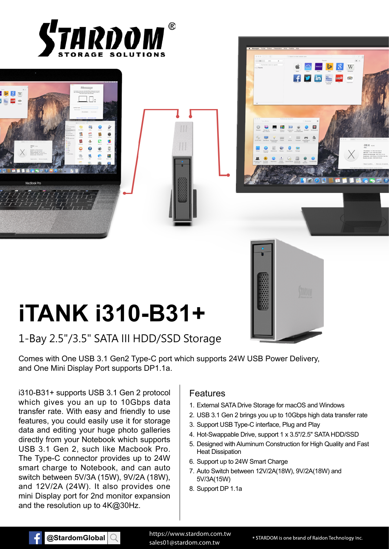







# **iTANK i310-B31+**

## 1-Bay 2.5"/3.5" SATA III HDD/SSD Storage

Comes with One USB 3.1 Gen2 Type-C port which supports 24W USB Power Delivery, and One Mini Display Port supports DP1.1a.

i310-B31+ supports USB 3.1 Gen 2 protocol which gives you an up to 10Gbps data transfer rate. With easy and friendly to use features, you could easily use it for storage data and editing your huge photo galleries directly from your Notebook which supports USB 3.1 Gen 2, such like Macbook Pro. The Type-C connector provides up to 24W smart charge to Notebook, and can auto switch between 5V/3A (15W), 9V/2A (18W), and 12V/2A (24W). It also provides one mini Display port for 2nd monitor expansion and the resolution up to 4K@30Hz.

#### Features

- 1. External SATA Drive Storage for macOS and Windows
- 2. USB 3.1 Gen 2 brings you up to 10Gbps high data transfer rate
- 3. Support USB Type-C interface, Plug and Play
- 4. Hot-Swappable Drive, support 1 x 3.5"/2.5" SATA HDD/SSD
- 5. Designed with Aluminum Construction for High Quality and Fast Heat Dissipation
- 6. Support up to 24W Smart Charge
- 7. Auto Switch between 12V/2A(18W), 9V/2A(18W) and 5V/3A(15W)
- 8. Support DP 1.1a